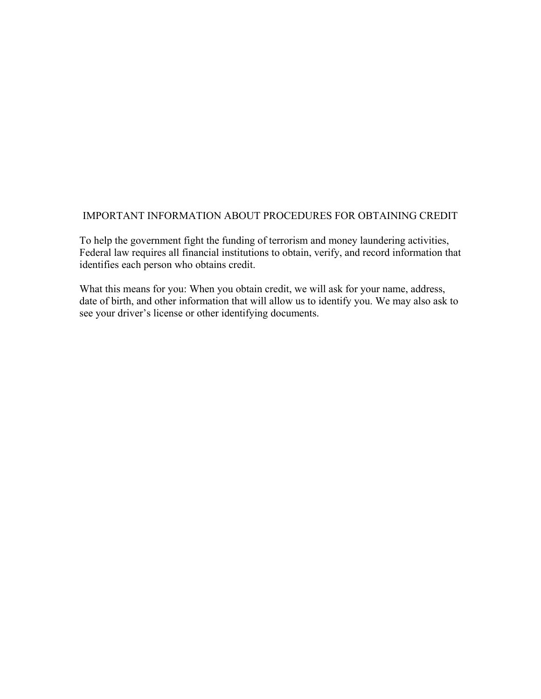## IMPORTANT INFORMATION ABOUT PROCEDURES FOR OBTAINING CREDIT

To help the government fight the funding of terrorism and money laundering activities, Federal law requires all financial institutions to obtain, verify, and record information that identifies each person who obtains credit.

What this means for you: When you obtain credit, we will ask for your name, address, date of birth, and other information that will allow us to identify you. We may also ask to see your driver's license or other identifying documents.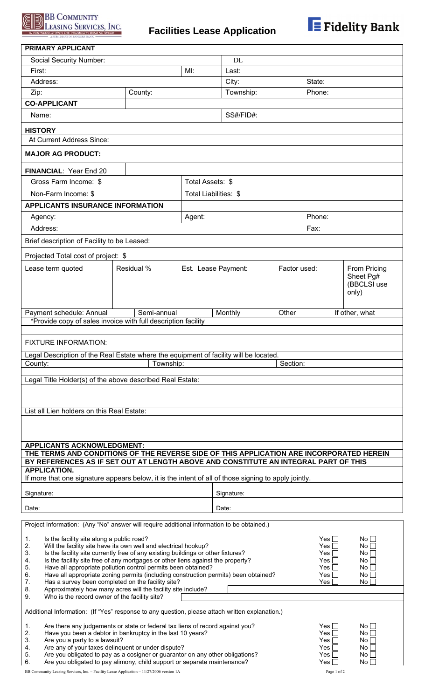

## **Facilities Lease Application**



| PRIMARY APPLICANT                                                                                                                                                                                                                                                                                                                                                                                                                                                                                                                                                                                                                                                      |             |                                     |                  |          |                                   |                |  |
|------------------------------------------------------------------------------------------------------------------------------------------------------------------------------------------------------------------------------------------------------------------------------------------------------------------------------------------------------------------------------------------------------------------------------------------------------------------------------------------------------------------------------------------------------------------------------------------------------------------------------------------------------------------------|-------------|-------------------------------------|------------------|----------|-----------------------------------|----------------|--|
| Social Security Number:                                                                                                                                                                                                                                                                                                                                                                                                                                                                                                                                                                                                                                                |             |                                     | <b>DL</b>        |          |                                   |                |  |
| First:                                                                                                                                                                                                                                                                                                                                                                                                                                                                                                                                                                                                                                                                 |             | $Ml$ :                              | Last:            |          |                                   |                |  |
| Address:                                                                                                                                                                                                                                                                                                                                                                                                                                                                                                                                                                                                                                                               |             |                                     | City:<br>State:  |          |                                   |                |  |
| Zip:                                                                                                                                                                                                                                                                                                                                                                                                                                                                                                                                                                                                                                                                   | County:     |                                     | Township:        |          | Phone:                            |                |  |
| <b>CO-APPLICANT</b>                                                                                                                                                                                                                                                                                                                                                                                                                                                                                                                                                                                                                                                    |             |                                     |                  |          |                                   |                |  |
| Name:                                                                                                                                                                                                                                                                                                                                                                                                                                                                                                                                                                                                                                                                  |             |                                     | SS#/FID#:        |          |                                   |                |  |
| <b>HISTORY</b>                                                                                                                                                                                                                                                                                                                                                                                                                                                                                                                                                                                                                                                         |             |                                     |                  |          |                                   |                |  |
| At Current Address Since:                                                                                                                                                                                                                                                                                                                                                                                                                                                                                                                                                                                                                                              |             |                                     |                  |          |                                   |                |  |
| <b>MAJOR AG PRODUCT:</b>                                                                                                                                                                                                                                                                                                                                                                                                                                                                                                                                                                                                                                               |             |                                     |                  |          |                                   |                |  |
| FINANCIAL: Year End 20                                                                                                                                                                                                                                                                                                                                                                                                                                                                                                                                                                                                                                                 |             |                                     |                  |          |                                   |                |  |
| Gross Farm Income: \$                                                                                                                                                                                                                                                                                                                                                                                                                                                                                                                                                                                                                                                  |             |                                     | Total Assets: \$ |          |                                   |                |  |
| Non-Farm Income: \$                                                                                                                                                                                                                                                                                                                                                                                                                                                                                                                                                                                                                                                    |             | Total Liabilities: \$               |                  |          |                                   |                |  |
| <b>APPLICANTS INSURANCE INFORMATION</b>                                                                                                                                                                                                                                                                                                                                                                                                                                                                                                                                                                                                                                |             |                                     |                  |          |                                   |                |  |
| Agency:                                                                                                                                                                                                                                                                                                                                                                                                                                                                                                                                                                                                                                                                |             | Agent:                              |                  |          | Phone:                            |                |  |
| Address:                                                                                                                                                                                                                                                                                                                                                                                                                                                                                                                                                                                                                                                               |             |                                     |                  |          | Fax:                              |                |  |
| Brief description of Facility to be Leased:                                                                                                                                                                                                                                                                                                                                                                                                                                                                                                                                                                                                                            |             |                                     |                  |          |                                   |                |  |
| Projected Total cost of project: \$                                                                                                                                                                                                                                                                                                                                                                                                                                                                                                                                                                                                                                    |             |                                     |                  |          |                                   |                |  |
| Lease term quoted                                                                                                                                                                                                                                                                                                                                                                                                                                                                                                                                                                                                                                                      | Residual %  |                                     |                  |          |                                   | From Pricing   |  |
|                                                                                                                                                                                                                                                                                                                                                                                                                                                                                                                                                                                                                                                                        |             | Est. Lease Payment:<br>Factor used: |                  |          | Sheet Pg#<br>(BBCLSI use<br>only) |                |  |
| Payment schedule: Annual                                                                                                                                                                                                                                                                                                                                                                                                                                                                                                                                                                                                                                               | Semi-annual |                                     | Monthly          | Other    |                                   | If other, what |  |
| *Provide copy of sales invoice with full description facility                                                                                                                                                                                                                                                                                                                                                                                                                                                                                                                                                                                                          |             |                                     |                  |          |                                   |                |  |
|                                                                                                                                                                                                                                                                                                                                                                                                                                                                                                                                                                                                                                                                        |             |                                     |                  |          |                                   |                |  |
| <b>FIXTURE INFORMATION:</b>                                                                                                                                                                                                                                                                                                                                                                                                                                                                                                                                                                                                                                            |             |                                     |                  |          |                                   |                |  |
| Legal Description of the Real Estate where the equipment of facility will be located.<br>County:                                                                                                                                                                                                                                                                                                                                                                                                                                                                                                                                                                       | Township:   |                                     |                  | Section: |                                   |                |  |
|                                                                                                                                                                                                                                                                                                                                                                                                                                                                                                                                                                                                                                                                        |             |                                     |                  |          |                                   |                |  |
| Legal Title Holder(s) of the above described Real Estate:                                                                                                                                                                                                                                                                                                                                                                                                                                                                                                                                                                                                              |             |                                     |                  |          |                                   |                |  |
|                                                                                                                                                                                                                                                                                                                                                                                                                                                                                                                                                                                                                                                                        |             |                                     |                  |          |                                   |                |  |
| List all Lien holders on this Real Estate:                                                                                                                                                                                                                                                                                                                                                                                                                                                                                                                                                                                                                             |             |                                     |                  |          |                                   |                |  |
|                                                                                                                                                                                                                                                                                                                                                                                                                                                                                                                                                                                                                                                                        |             |                                     |                  |          |                                   |                |  |
|                                                                                                                                                                                                                                                                                                                                                                                                                                                                                                                                                                                                                                                                        |             |                                     |                  |          |                                   |                |  |
| <b>APPLICANTS ACKNOWLEDGMENT:</b>                                                                                                                                                                                                                                                                                                                                                                                                                                                                                                                                                                                                                                      |             |                                     |                  |          |                                   |                |  |
| THE TERMS AND CONDITIONS OF THE REVERSE SIDE OF THIS APPLICATION ARE INCORPORATED HEREIN                                                                                                                                                                                                                                                                                                                                                                                                                                                                                                                                                                               |             |                                     |                  |          |                                   |                |  |
| BY REFERENCES AS IF SET OUT AT LENGTH ABOVE AND CONSTITUTE AN INTEGRAL PART OF THIS                                                                                                                                                                                                                                                                                                                                                                                                                                                                                                                                                                                    |             |                                     |                  |          |                                   |                |  |
| <b>APPLICATION.</b><br>If more that one signature appears below, it is the intent of all of those signing to apply jointly.                                                                                                                                                                                                                                                                                                                                                                                                                                                                                                                                            |             |                                     |                  |          |                                   |                |  |
|                                                                                                                                                                                                                                                                                                                                                                                                                                                                                                                                                                                                                                                                        |             |                                     |                  |          |                                   |                |  |
| Signature:                                                                                                                                                                                                                                                                                                                                                                                                                                                                                                                                                                                                                                                             |             |                                     | Signature:       |          |                                   |                |  |
| Date:<br>Date:                                                                                                                                                                                                                                                                                                                                                                                                                                                                                                                                                                                                                                                         |             |                                     |                  |          |                                   |                |  |
| Project Information: (Any "No" answer will require additional information to be obtained.)                                                                                                                                                                                                                                                                                                                                                                                                                                                                                                                                                                             |             |                                     |                  |          |                                   |                |  |
| Is the facility site along a public road?<br>Yes $\Box$<br>$No \Box1.2.Will the facility site have its own well and electrical hookup?No \BoxYes \BoxIs the facility site currently free of any existing buildings or other fixtures?3.Yes \BoxNo \BoxIs the facility site free of any mortgages or other liens against the property?4.Yes \squareNoHave all appropriate pollution control permits been obtained?5.No \squareYes \BoxHave all appropriate zoning permits (including construction permits) been obtained?6.No [Yes \BoxHas a survey been completed on the facility site?7.Yes \squareNolApproximately how many acres will the facility site include?8.$ |             |                                     |                  |          |                                   |                |  |
| Who is the record owner of the facility site?<br>9.<br>Additional Information: (If "Yes" response to any question, please attach written explanation.)                                                                                                                                                                                                                                                                                                                                                                                                                                                                                                                 |             |                                     |                  |          |                                   |                |  |
| Are there any judgements or state or federal tax liens of record against you?<br>Yes $\Box$<br>$No \Box1.2.Have you been a debtor in bankruptcy in the last 10 years?Yes \squareNo \squareAre you a party to a lawsuit?3.Yes \BoxNoAre any of your taxes delinquent or under dispute?4.Yes \BoxNo1Are you obligated to pay as a cosigner or guarantor on any other obligations?5.Yes \BoxNo 1Are you obligated to pay alimony, child support or separate maintenance?6.No \BoxYes \Box$                                                                                                                                                                                |             |                                     |                  |          |                                   |                |  |